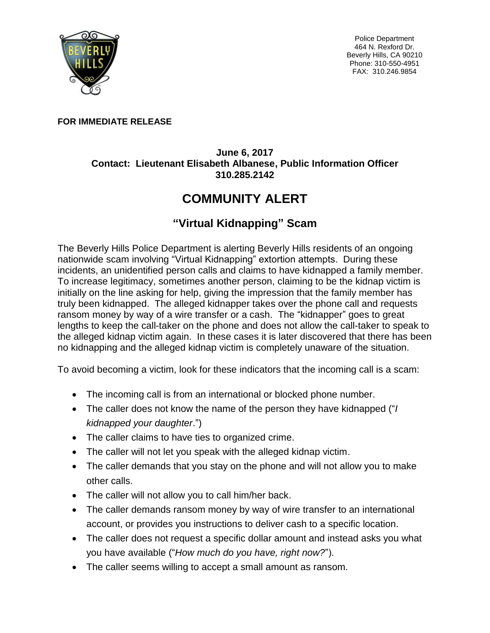

Police Department 464 N. Rexford Dr. Beverly Hills, CA 90210 Phone: 310-550-4951 FAX: 310.246.9854

## **FOR IMMEDIATE RELEASE**

## **June 6, 2017 Contact: Lieutenant Elisabeth Albanese, Public Information Officer 310.285.2142**

## **COMMUNITY ALERT**

## **"Virtual Kidnapping" Scam**

The Beverly Hills Police Department is alerting Beverly Hills residents of an ongoing nationwide scam involving "Virtual Kidnapping" extortion attempts. During these incidents, an unidentified person calls and claims to have kidnapped a family member. To increase legitimacy, sometimes another person, claiming to be the kidnap victim is initially on the line asking for help, giving the impression that the family member has truly been kidnapped. The alleged kidnapper takes over the phone call and requests ransom money by way of a wire transfer or a cash. The "kidnapper" goes to great lengths to keep the call-taker on the phone and does not allow the call-taker to speak to the alleged kidnap victim again. In these cases it is later discovered that there has been no kidnapping and the alleged kidnap victim is completely unaware of the situation.

To avoid becoming a victim, look for these indicators that the incoming call is a scam:

- The incoming call is from an international or blocked phone number.
- The caller does not know the name of the person they have kidnapped ("*I kidnapped your daughter*.")
- The caller claims to have ties to organized crime.
- The caller will not let you speak with the alleged kidnap victim.
- The caller demands that you stay on the phone and will not allow you to make other calls.
- The caller will not allow you to call him/her back.
- The caller demands ransom money by way of wire transfer to an international account, or provides you instructions to deliver cash to a specific location.
- The caller does not request a specific dollar amount and instead asks you what you have available ("*How much do you have, right now?*").
- The caller seems willing to accept a small amount as ransom.